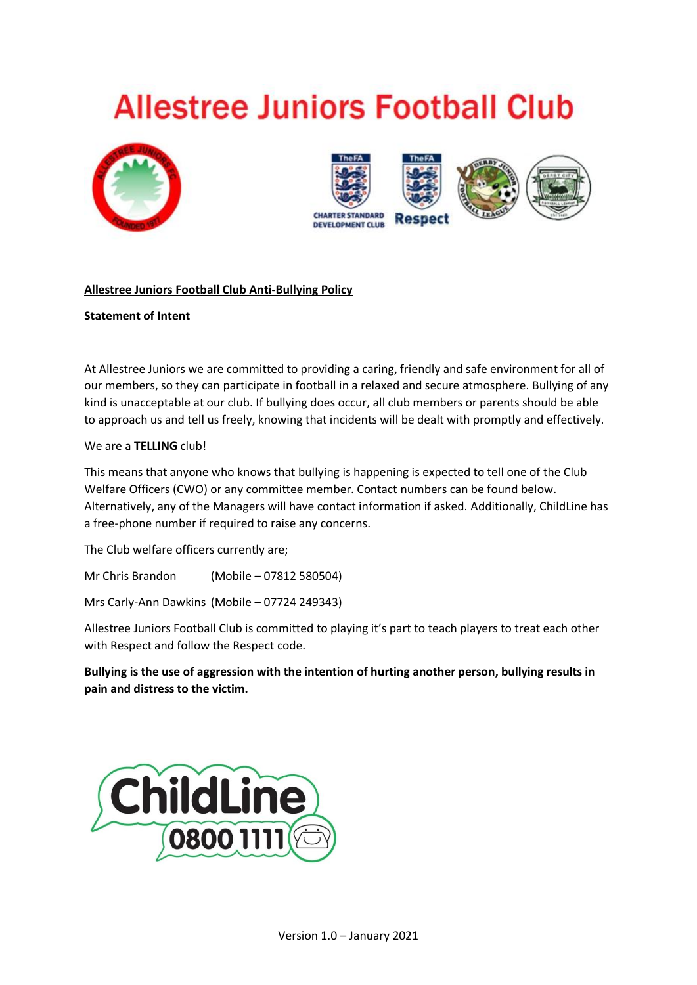# **Allestree Juniors Football Club**





# **Allestree Juniors Football Club Anti-Bullying Policy**

# **Statement of Intent**

At Allestree Juniors we are committed to providing a caring, friendly and safe environment for all of our members, so they can participate in football in a relaxed and secure atmosphere. Bullying of any kind is unacceptable at our club. If bullying does occur, all club members or parents should be able to approach us and tell us freely, knowing that incidents will be dealt with promptly and effectively.

## We are a **TELLING** club!

This means that anyone who knows that bullying is happening is expected to tell one of the Club Welfare Officers (CWO) or any committee member. Contact numbers can be found below. Alternatively, any of the Managers will have contact information if asked. Additionally, ChildLine has a free-phone number if required to raise any concerns.

The Club welfare officers currently are;

Mr Chris Brandon (Mobile – 07812 580504)

Mrs Carly-Ann Dawkins (Mobile – 07724 249343)

Allestree Juniors Football Club is committed to playing it's part to teach players to treat each other with Respect and follow the Respect code.

**Bullying is the use of aggression with the intention of hurting another person, bullying results in pain and distress to the victim.**